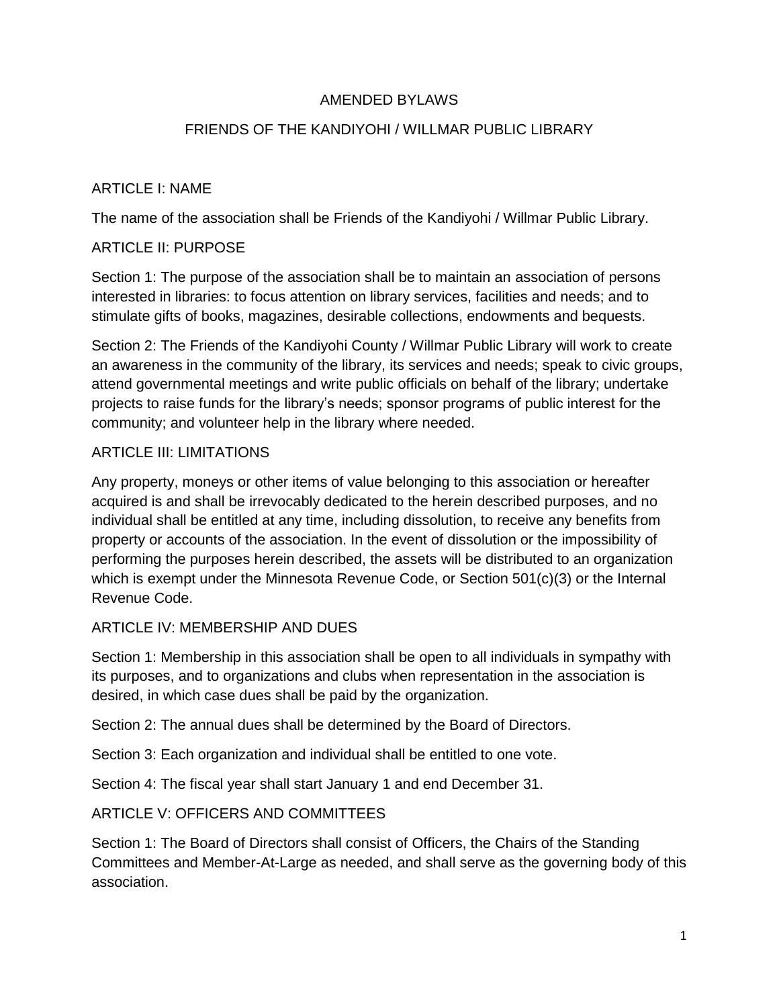#### AMENDED BYLAWS

### FRIENDS OF THE KANDIYOHI / WILLMAR PUBLIC LIBRARY

## ARTICLE I: NAME

The name of the association shall be Friends of the Kandiyohi / Willmar Public Library.

#### ARTICLE II: PURPOSE

Section 1: The purpose of the association shall be to maintain an association of persons interested in libraries: to focus attention on library services, facilities and needs; and to stimulate gifts of books, magazines, desirable collections, endowments and bequests.

Section 2: The Friends of the Kandiyohi County / Willmar Public Library will work to create an awareness in the community of the library, its services and needs; speak to civic groups, attend governmental meetings and write public officials on behalf of the library; undertake projects to raise funds for the library's needs; sponsor programs of public interest for the community; and volunteer help in the library where needed.

### ARTICLE III: LIMITATIONS

Any property, moneys or other items of value belonging to this association or hereafter acquired is and shall be irrevocably dedicated to the herein described purposes, and no individual shall be entitled at any time, including dissolution, to receive any benefits from property or accounts of the association. In the event of dissolution or the impossibility of performing the purposes herein described, the assets will be distributed to an organization which is exempt under the Minnesota Revenue Code, or Section 501(c)(3) or the Internal Revenue Code.

#### ARTICLE IV: MEMBERSHIP AND DUES

Section 1: Membership in this association shall be open to all individuals in sympathy with its purposes, and to organizations and clubs when representation in the association is desired, in which case dues shall be paid by the organization.

Section 2: The annual dues shall be determined by the Board of Directors.

Section 3: Each organization and individual shall be entitled to one vote.

Section 4: The fiscal year shall start January 1 and end December 31.

### ARTICLE V: OFFICERS AND COMMITTEES

Section 1: The Board of Directors shall consist of Officers, the Chairs of the Standing Committees and Member-At-Large as needed, and shall serve as the governing body of this association.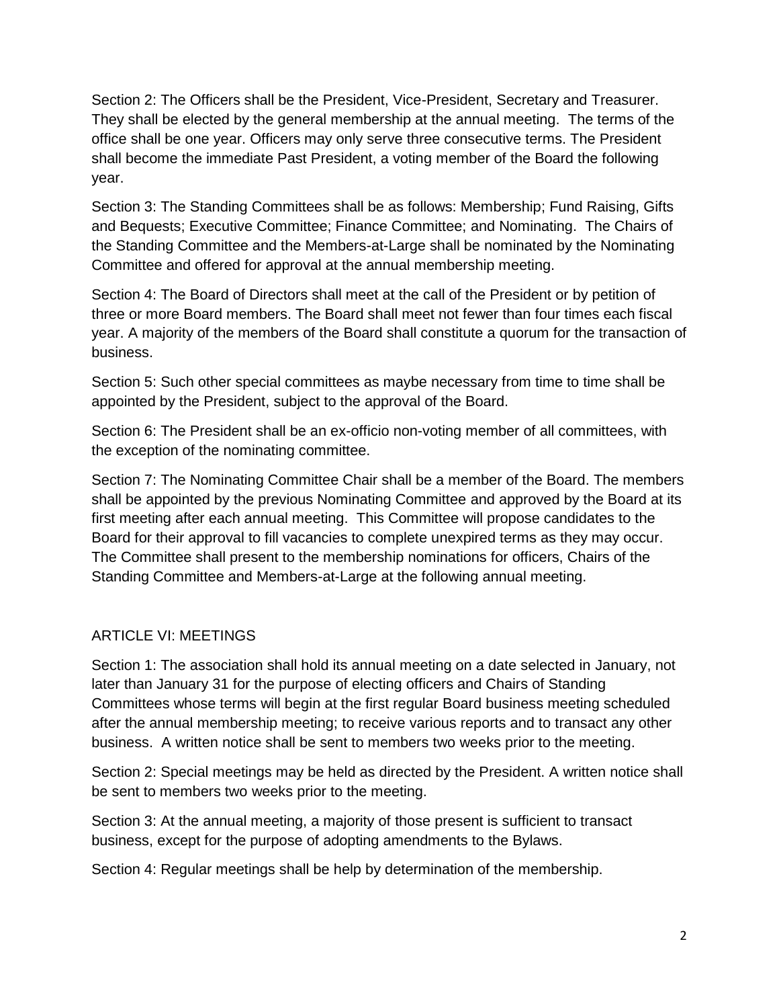Section 2: The Officers shall be the President, Vice-President, Secretary and Treasurer. They shall be elected by the general membership at the annual meeting. The terms of the office shall be one year. Officers may only serve three consecutive terms. The President shall become the immediate Past President, a voting member of the Board the following year.

Section 3: The Standing Committees shall be as follows: Membership; Fund Raising, Gifts and Bequests; Executive Committee; Finance Committee; and Nominating. The Chairs of the Standing Committee and the Members-at-Large shall be nominated by the Nominating Committee and offered for approval at the annual membership meeting.

Section 4: The Board of Directors shall meet at the call of the President or by petition of three or more Board members. The Board shall meet not fewer than four times each fiscal year. A majority of the members of the Board shall constitute a quorum for the transaction of business.

Section 5: Such other special committees as maybe necessary from time to time shall be appointed by the President, subject to the approval of the Board.

Section 6: The President shall be an ex-officio non-voting member of all committees, with the exception of the nominating committee.

Section 7: The Nominating Committee Chair shall be a member of the Board. The members shall be appointed by the previous Nominating Committee and approved by the Board at its first meeting after each annual meeting. This Committee will propose candidates to the Board for their approval to fill vacancies to complete unexpired terms as they may occur. The Committee shall present to the membership nominations for officers, Chairs of the Standing Committee and Members-at-Large at the following annual meeting.

# ARTICLE VI: MEETINGS

Section 1: The association shall hold its annual meeting on a date selected in January, not later than January 31 for the purpose of electing officers and Chairs of Standing Committees whose terms will begin at the first regular Board business meeting scheduled after the annual membership meeting; to receive various reports and to transact any other business. A written notice shall be sent to members two weeks prior to the meeting.

Section 2: Special meetings may be held as directed by the President. A written notice shall be sent to members two weeks prior to the meeting.

Section 3: At the annual meeting, a majority of those present is sufficient to transact business, except for the purpose of adopting amendments to the Bylaws.

Section 4: Regular meetings shall be help by determination of the membership.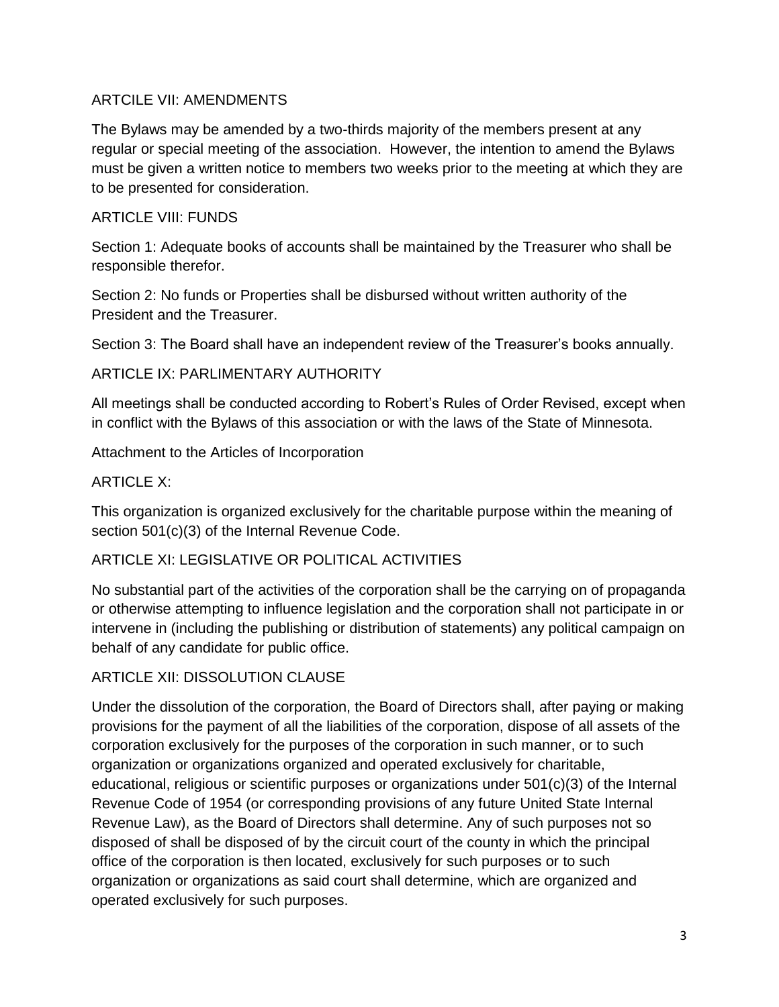## ARTCILE VII: AMENDMENTS

The Bylaws may be amended by a two-thirds majority of the members present at any regular or special meeting of the association. However, the intention to amend the Bylaws must be given a written notice to members two weeks prior to the meeting at which they are to be presented for consideration.

## ARTICLE VIII: FUNDS

Section 1: Adequate books of accounts shall be maintained by the Treasurer who shall be responsible therefor.

Section 2: No funds or Properties shall be disbursed without written authority of the President and the Treasurer.

Section 3: The Board shall have an independent review of the Treasurer's books annually.

ARTICLE IX: PARLIMENTARY AUTHORITY

All meetings shall be conducted according to Robert's Rules of Order Revised, except when in conflict with the Bylaws of this association or with the laws of the State of Minnesota.

Attachment to the Articles of Incorporation

# ARTICLE X:

This organization is organized exclusively for the charitable purpose within the meaning of section 501(c)(3) of the Internal Revenue Code.

# ARTICLE XI: LEGISLATIVE OR POLITICAL ACTIVITIES

No substantial part of the activities of the corporation shall be the carrying on of propaganda or otherwise attempting to influence legislation and the corporation shall not participate in or intervene in (including the publishing or distribution of statements) any political campaign on behalf of any candidate for public office.

# ARTICLE XII: DISSOLUTION CLAUSE

Under the dissolution of the corporation, the Board of Directors shall, after paying or making provisions for the payment of all the liabilities of the corporation, dispose of all assets of the corporation exclusively for the purposes of the corporation in such manner, or to such organization or organizations organized and operated exclusively for charitable, educational, religious or scientific purposes or organizations under 501(c)(3) of the Internal Revenue Code of 1954 (or corresponding provisions of any future United State Internal Revenue Law), as the Board of Directors shall determine. Any of such purposes not so disposed of shall be disposed of by the circuit court of the county in which the principal office of the corporation is then located, exclusively for such purposes or to such organization or organizations as said court shall determine, which are organized and operated exclusively for such purposes.